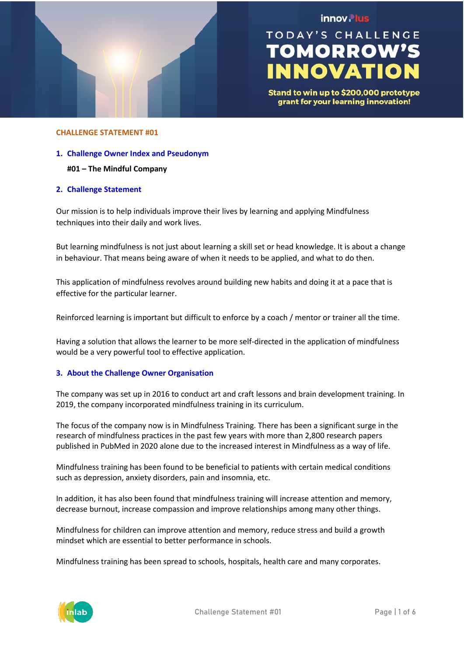

## innov. lus

# **TODAY'S CHALLENGE TOMORROW'S NNOVATIO**

Stand to win up to \$200,000 prototype grant for your learning innovation!

## **CHALLENGE STATEMENT #01**

#### **1. Challenge Owner Index and Pseudonym**

## **#01 – The Mindful Company**

## **2. Challenge Statement**

Our mission is to help individuals improve their lives by learning and applying Mindfulness techniques into their daily and work lives.

But learning mindfulness is not just about learning a skill set or head knowledge. It is about a change in behaviour. That means being aware of when it needs to be applied, and what to do then.

This application of mindfulness revolves around building new habits and doing it at a pace that is effective for the particular learner.

Reinforced learning is important but difficult to enforce by a coach / mentor or trainer all the time.

Having a solution that allows the learner to be more self-directed in the application of mindfulness would be a very powerful tool to effective application.

## **3. About the Challenge Owner Organisation**

The company was set up in 2016 to conduct art and craft lessons and brain development training. In 2019, the company incorporated mindfulness training in its curriculum.

The focus of the company now is in Mindfulness Training. There has been a significant surge in the research of mindfulness practices in the past few years with more than 2,800 research papers published in PubMed in 2020 alone due to the increased interest in Mindfulness as a way of life.

Mindfulness training has been found to be beneficial to patients with certain medical conditions such as depression, anxiety disorders, pain and insomnia, etc.

In addition, it has also been found that mindfulness training will increase attention and memory, decrease burnout, increase compassion and improve relationships among many other things.

Mindfulness for children can improve attention and memory, reduce stress and build a growth mindset which are essential to better performance in schools.

Mindfulness training has been spread to schools, hospitals, health care and many corporates.

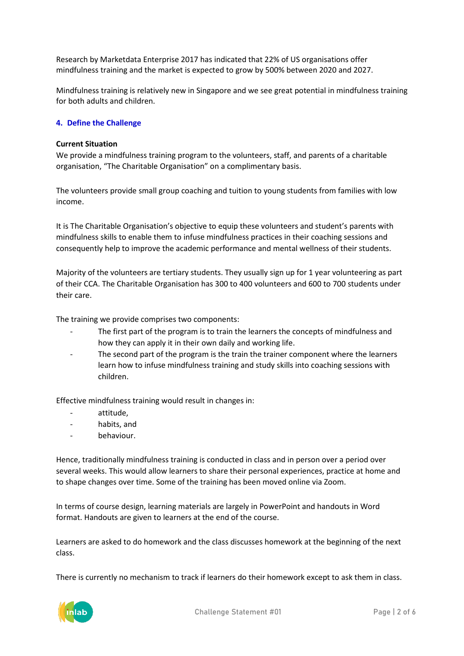Research by Marketdata Enterprise 2017 has indicated that 22% of US organisations offer mindfulness training and the market is expected to grow by 500% between 2020 and 2027.

Mindfulness training is relatively new in Singapore and we see great potential in mindfulness training for both adults and children.

## **4. Define the Challenge**

## **Current Situation**

We provide a mindfulness training program to the volunteers, staff, and parents of a charitable organisation, "The Charitable Organisation" on a complimentary basis.

The volunteers provide small group coaching and tuition to young students from families with low income.

It is The Charitable Organisation's objective to equip these volunteers and student's parents with mindfulness skills to enable them to infuse mindfulness practices in their coaching sessions and consequently help to improve the academic performance and mental wellness of their students.

Majority of the volunteers are tertiary students. They usually sign up for 1 year volunteering as part of their CCA. The Charitable Organisation has 300 to 400 volunteers and 600 to 700 students under their care.

The training we provide comprises two components:

- The first part of the program is to train the learners the concepts of mindfulness and how they can apply it in their own daily and working life.
- The second part of the program is the train the trainer component where the learners learn how to infuse mindfulness training and study skills into coaching sessions with children.

Effective mindfulness training would result in changes in:

- attitude,
- habits, and
- behaviour.

Hence, traditionally mindfulness training is conducted in class and in person over a period over several weeks. This would allow learners to share their personal experiences, practice at home and to shape changes over time. Some of the training has been moved online via Zoom.

In terms of course design, learning materials are largely in PowerPoint and handouts in Word format. Handouts are given to learners at the end of the course.

Learners are asked to do homework and the class discusses homework at the beginning of the next class.

There is currently no mechanism to track if learners do their homework except to ask them in class.

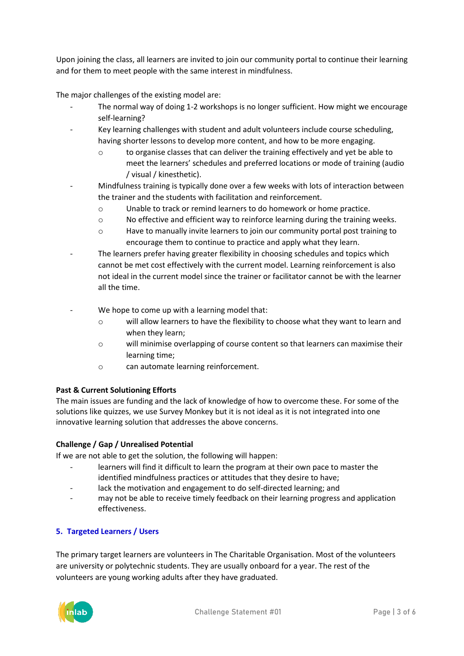Upon joining the class, all learners are invited to join our community portal to continue their learning and for them to meet people with the same interest in mindfulness.

The major challenges of the existing model are:

- The normal way of doing 1-2 workshops is no longer sufficient. How might we encourage self-learning?
	- Key learning challenges with student and adult volunteers include course scheduling, having shorter lessons to develop more content, and how to be more engaging.
		- o to organise classes that can deliver the training effectively and yet be able to meet the learners' schedules and preferred locations or mode of training (audio / visual / kinesthetic).
- Mindfulness training is typically done over a few weeks with lots of interaction between the trainer and the students with facilitation and reinforcement.
	- o Unable to track or remind learners to do homework or home practice.
	- $\circ$  No effective and efficient way to reinforce learning during the training weeks.
	- o Have to manually invite learners to join our community portal post training to encourage them to continue to practice and apply what they learn.
- The learners prefer having greater flexibility in choosing schedules and topics which cannot be met cost effectively with the current model. Learning reinforcement is also not ideal in the current model since the trainer or facilitator cannot be with the learner all the time.
- We hope to come up with a learning model that:
	- o will allow learners to have the flexibility to choose what they want to learn and when they learn;
	- o will minimise overlapping of course content so that learners can maximise their learning time;
	- o can automate learning reinforcement.

## **Past & Current Solutioning Efforts**

The main issues are funding and the lack of knowledge of how to overcome these. For some of the solutions like quizzes, we use Survey Monkey but it is not ideal as it is not integrated into one innovative learning solution that addresses the above concerns.

## **Challenge / Gap / Unrealised Potential**

If we are not able to get the solution, the following will happen:

- learners will find it difficult to learn the program at their own pace to master the identified mindfulness practices or attitudes that they desire to have;
- lack the motivation and engagement to do self-directed learning; and
- may not be able to receive timely feedback on their learning progress and application effectiveness.

## **5. Targeted Learners / Users**

The primary target learners are volunteers in The Charitable Organisation. Most of the volunteers are university or polytechnic students. They are usually onboard for a year. The rest of the volunteers are young working adults after they have graduated.

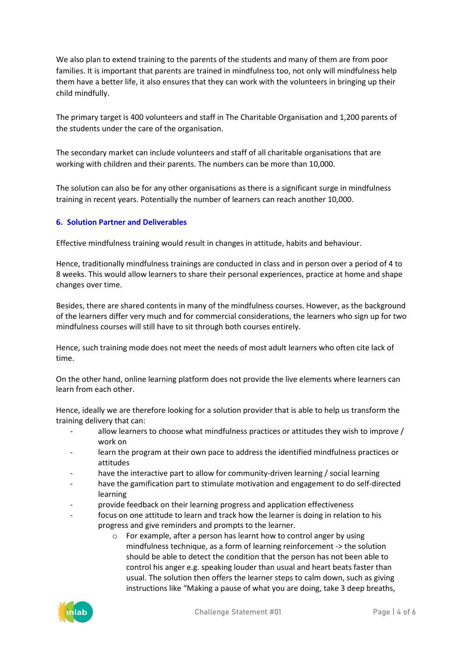We also plan to extend training to the parents of the students and many of them are from poor families. It is important that parents are trained in mindfulness too, not only will mindfulness help them have a better life, it also ensures that they can work with the volunteers in bringing up their child mindfully.

The primary target is 400 volunteers and staff in The Charitable Organisation and 1,200 parents of the students under the care of the organisation.

The secondary market can include volunteers and staff of all charitable organisations that are working with children and their parents. The numbers can be more than 10,000.

The solution can also be for any other organisations as there is a significant surge in mindfulness training in recent years. Potentially the number of learners can reach another 10,000.

## **6. Solution Partner and Deliverables**

Effective mindfulness training would result in changes in attitude, habits and behaviour.

Hence, traditionally mindfulness trainings are conducted in class and in person over a period of 4 to 8 weeks. This would allow learners to share their personal experiences, practice at home and shape changes over time.

Besides, there are shared contents in many of the mindfulness courses. However, as the background of the learners differ very much and for commercial considerations, the learners who sign up for two mindfulness courses will still have to sit through both courses entirely.

Hence, such training mode does not meet the needs of most adult learners who often cite lack of time.

On the other hand, online learning platform does not provide the live elements where learners can learn from each other.

Hence, ideally we are therefore looking for a solution provider that is able to help us transform the training delivery that can:

- allow learners to choose what mindfulness practices or attitudes they wish to improve / work on
- learn the program at their own pace to address the identified mindfulness practices or attitudes
- have the interactive part to allow for community-driven learning / social learning
- have the gamification part to stimulate motivation and engagement to do self-directed learning
- provide feedback on their learning progress and application effectiveness
- focus on one attitude to learn and track how the learner is doing in relation to his progress and give reminders and prompts to the learner.
	- $\circ$  For example, after a person has learnt how to control anger by using mindfulness technique, as a form of learning reinforcement -> the solution should be able to detect the condition that the person has not been able to control his anger e.g. speaking louder than usual and heart beats faster than usual. The solution then offers the learner steps to calm down, such as giving instructions like "Making a pause of what you are doing, take 3 deep breaths,

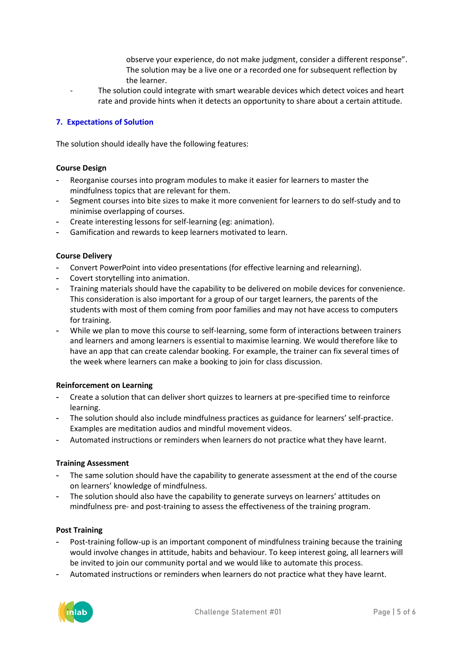- observe your experience, do not make judgment, consider a different response". The solution may be a live one or a recorded one for subsequent reflection by the learner.
- The solution could integrate with smart wearable devices which detect voices and heart rate and provide hints when it detects an opportunity to share about a certain attitude.

## **7. Expectations of Solution**

The solution should ideally have the following features:

## **Course Design**

- Reorganise courses into program modules to make it easier for learners to master the mindfulness topics that are relevant for them.
- Segment courses into bite sizes to make it more convenient for learners to do self-study and to minimise overlapping of courses.
- Create interesting lessons for self-learning (eg: animation).
- Gamification and rewards to keep learners motivated to learn.

## **Course Delivery**

- Convert PowerPoint into video presentations (for effective learning and relearning).
- Covert storytelling into animation.
- Training materials should have the capability to be delivered on mobile devices for convenience. This consideration is also important for a group of our target learners, the parents of the students with most of them coming from poor families and may not have access to computers for training.
- While we plan to move this course to self-learning, some form of interactions between trainers and learners and among learners is essential to maximise learning. We would therefore like to have an app that can create calendar booking. For example, the trainer can fix several times of the week where learners can make a booking to join for class discussion.

## **Reinforcement on Learning**

- Create a solution that can deliver short quizzes to learners at pre-specified time to reinforce learning.
- The solution should also include mindfulness practices as guidance for learners' self-practice. Examples are meditation audios and mindful movement videos.
- Automated instructions or reminders when learners do not practice what they have learnt.

## **Training Assessment**

- The same solution should have the capability to generate assessment at the end of the course on learners' knowledge of mindfulness.
- The solution should also have the capability to generate surveys on learners' attitudes on mindfulness pre- and post-training to assess the effectiveness of the training program.

## **Post Training**

- Post-training follow-up is an important component of mindfulness training because the training would involve changes in attitude, habits and behaviour. To keep interest going, all learners will be invited to join our community portal and we would like to automate this process.
- Automated instructions or reminders when learners do not practice what they have learnt.